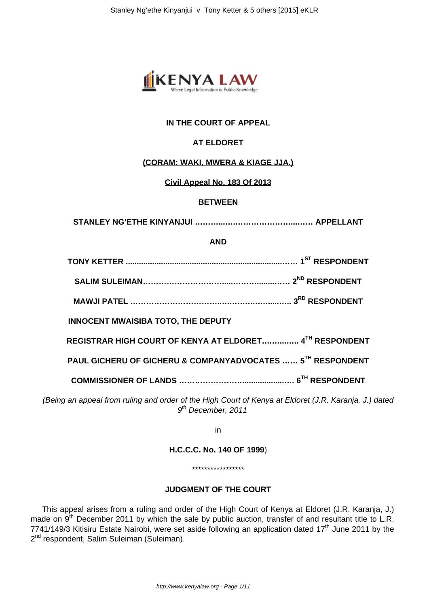

# **IN THE COURT OF APPEAL**

# **AT ELDORET**

#### **(CORAM: WAKI, MWERA & KIAGE JJA.)**

#### **Civil Appeal No. 183 Of 2013**

#### **BETWEEN**

**STANLEY NG'ETHE KINYANJUI ………...….…………………...…… APPELLANT**

#### **AND**

**TONY KETTER .......................................................................…… 1ST RESPONDENT**

**SALIM SULEIMAN………………………….....………........…… 2ND RESPONDENT**

**MAWJI PATEL ……………………………..….…….….….....….. 3RD RESPONDENT**

**INNOCENT MWAISIBA TOTO, THE DEPUTY**

**REGISTRAR HIGH COURT OF KENYA AT ELDORET….…...….. 4TH RESPONDENT**

**PAUL GICHERU OF GICHERU & COMPANYADVOCATES …… 5TH RESPONDENT**

**COMMISSIONER OF LANDS ……………………...................…. 6TH RESPONDENT**

(Being an appeal from ruling and order of the High Court of Kenya at Eldoret (J.R. Karanja, J.) dated 9<sup>th</sup> December, 2011

in

**H.C.C.C. No. 140 OF 1999**)

\*\*\*\*\*\*\*\*\*\*\*\*\*\*\*\*\*

# **JUDGMENT OF THE COURT**

This appeal arises from a ruling and order of the High Court of Kenya at Eldoret (J.R. Karanja, J.) made on 9<sup>th</sup> December 2011 by which the sale by public auction, transfer of and resultant title to L.R. 7741/149/3 Kitisiru Estate Nairobi, were set aside following an application dated 17<sup>th</sup> June 2011 by the 2<sup>nd</sup> respondent, Salim Suleiman (Suleiman).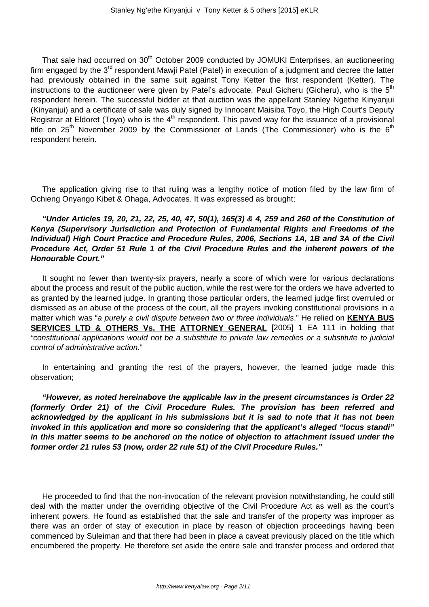That sale had occurred on 30<sup>th</sup> October 2009 conducted by JOMUKI Enterprises, an auctioneering firm engaged by the 3<sup>rd</sup> respondent Mawji Patel (Patel) in execution of a judgment and decree the latter had previously obtained in the same suit against Tony Ketter the first respondent (Ketter). The instructions to the auctioneer were given by Patel's advocate, Paul Gicheru (Gicheru), who is the  $5<sup>th</sup>$ respondent herein. The successful bidder at that auction was the appellant Stanley Ngethe Kinyanjui (Kinyanjui) and a certificate of sale was duly signed by Innocent Maisiba Toyo, the High Court's Deputy Registrar at Eldoret (Toyo) who is the  $4<sup>th</sup>$  respondent. This paved way for the issuance of a provisional title on  $25<sup>th</sup>$  November 2009 by the Commissioner of Lands (The Commissioner) who is the  $6<sup>th</sup>$ respondent herein.

The application giving rise to that ruling was a lengthy notice of motion filed by the law firm of Ochieng Onyango Kibet & Ohaga, Advocates. It was expressed as brought;

# **"Under Articles 19, 20, 21, 22, 25, 40, 47, 50(1), 165(3) & 4, 259 and 260 of the Constitution of Kenya (Supervisory Jurisdiction and Protection of Fundamental Rights and Freedoms of the Individual) High Court Practice and Procedure Rules, 2006, Sections 1A, 1B and 3A of the Civil Procedure Act, Order 51 Rule 1 of the Civil Procedure Rules and the inherent powers of the Honourable Court."**

It sought no fewer than twenty-six prayers, nearly a score of which were for various declarations about the process and result of the public auction, while the rest were for the orders we have adverted to as granted by the learned judge. In granting those particular orders, the learned judge first overruled or dismissed as an abuse of the process of the court, all the prayers invoking constitutional provisions in a matter which was "a purely a civil dispute between two or three individuals." He relied on **KENYA BUS SERVICES LTD & OTHERS Vs. THE ATTORNEY GENERAL** [2005] 1 EA 111 in holding that "constitutional applications would not be a substitute to private law remedies or a substitute to judicial control of administrative action."

In entertaining and granting the rest of the prayers, however, the learned judge made this observation;

**"However, as noted hereinabove the applicable law in the present circumstances is Order 22 (formerly Order 21) of the Civil Procedure Rules. The provision has been referred and acknowledged by the applicant in his submissions but it is sad to note that it has not been invoked in this application and more so considering that the applicant's alleged "locus standi" in this matter seems to be anchored on the notice of objection to attachment issued under the former order 21 rules 53 (now, order 22 rule 51) of the Civil Procedure Rules."**

He proceeded to find that the non-invocation of the relevant provision notwithstanding, he could still deal with the matter under the overriding objective of the Civil Procedure Act as well as the court's inherent powers. He found as established that the sale and transfer of the property was improper as there was an order of stay of execution in place by reason of objection proceedings having been commenced by Suleiman and that there had been in place a caveat previously placed on the title which encumbered the property. He therefore set aside the entire sale and transfer process and ordered that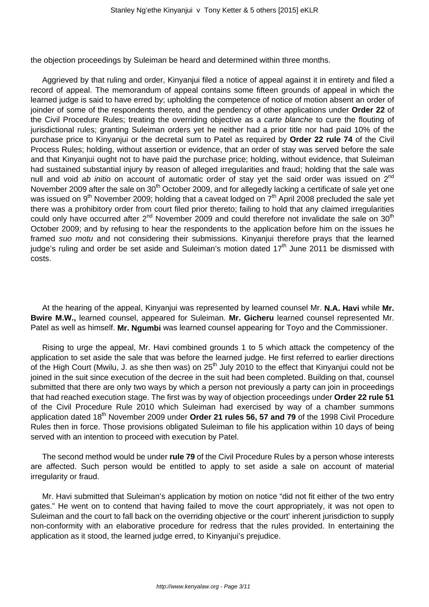the objection proceedings by Suleiman be heard and determined within three months.

Aggrieved by that ruling and order, Kinyanjui filed a notice of appeal against it in entirety and filed a record of appeal. The memorandum of appeal contains some fifteen grounds of appeal in which the learned judge is said to have erred by; upholding the competence of notice of motion absent an order of joinder of some of the respondents thereto, and the pendency of other applications under **Order 22** of the Civil Procedure Rules; treating the overriding objective as a carte blanche to cure the flouting of jurisdictional rules; granting Suleiman orders yet he neither had a prior title nor had paid 10% of the purchase price to Kinyanjui or the decretal sum to Patel as required by **Order 22 rule 74** of the Civil Process Rules; holding, without assertion or evidence, that an order of stay was served before the sale and that Kinyanjui ought not to have paid the purchase price; holding, without evidence, that Suleiman had sustained substantial injury by reason of alleged irregularities and fraud; holding that the sale was null and void ab initio on account of automatic order of stay yet the said order was issued on 2<sup>nd</sup> November 2009 after the sale on 30<sup>th</sup> October 2009, and for allegedly lacking a certificate of sale yet one was issued on 9<sup>th</sup> November 2009; holding that a caveat lodged on 7<sup>th</sup> April 2008 precluded the sale yet there was a prohibitory order from court filed prior thereto; failing to hold that any claimed irregularities could only have occurred after  $2^{nd}$  November 2009 and could therefore not invalidate the sale on 30<sup>th</sup> October 2009; and by refusing to hear the respondents to the application before him on the issues he framed suo motu and not considering their submissions. Kinyanjui therefore prays that the learned judge's ruling and order be set aside and Suleiman's motion dated  $17<sup>th</sup>$  June 2011 be dismissed with costs.

At the hearing of the appeal, Kinyanjui was represented by learned counsel Mr. **N.A. Havi** while **Mr. Bwire M.W.,** learned counsel, appeared for Suleiman. **Mr. Gicheru** learned counsel represented Mr. Patel as well as himself. **Mr. Ngumbi** was learned counsel appearing for Toyo and the Commissioner.

Rising to urge the appeal, Mr. Havi combined grounds 1 to 5 which attack the competency of the application to set aside the sale that was before the learned judge. He first referred to earlier directions of the High Court (Mwilu, J. as she then was) on 25<sup>th</sup> July 2010 to the effect that Kinyanjui could not be joined in the suit since execution of the decree in the suit had been completed. Building on that, counsel submitted that there are only two ways by which a person not previously a party can join in proceedings that had reached execution stage. The first was by way of objection proceedings under **Order 22 rule 51** of the Civil Procedure Rule 2010 which Suleiman had exercised by way of a chamber summons application dated 18<sup>th</sup> November 2009 under **Order 21 rules 56, 57 and 79** of the 1998 Civil Procedure Rules then in force. Those provisions obligated Suleiman to file his application within 10 days of being served with an intention to proceed with execution by Patel.

The second method would be under **rule 79** of the Civil Procedure Rules by a person whose interests are affected. Such person would be entitled to apply to set aside a sale on account of material irregularity or fraud.

Mr. Havi submitted that Suleiman's application by motion on notice "did not fit either of the two entry gates." He went on to contend that having failed to move the court appropriately, it was not open to Suleiman and the court to fall back on the overriding objective or the court' inherent jurisdiction to supply non-conformity with an elaborative procedure for redress that the rules provided. In entertaining the application as it stood, the learned judge erred, to Kinyanjui's prejudice.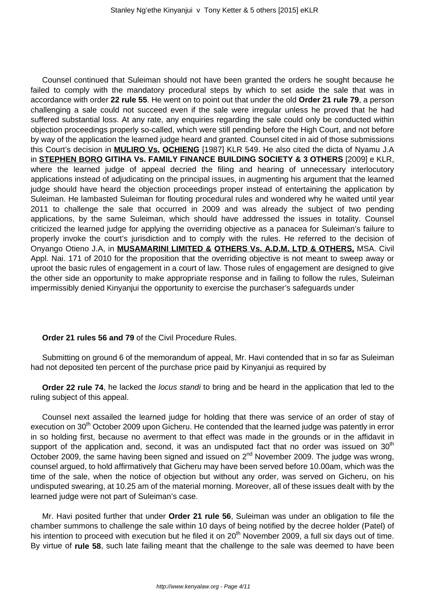Counsel continued that Suleiman should not have been granted the orders he sought because he failed to comply with the mandatory procedural steps by which to set aside the sale that was in accordance with order **22 rule 55**. He went on to point out that under the old **Order 21 rule 79**, a person challenging a sale could not succeed even if the sale were irregular unless he proved that he had suffered substantial loss. At any rate, any enquiries regarding the sale could only be conducted within objection proceedings properly so-called, which were still pending before the High Court, and not before by way of the application the learned judge heard and granted. Counsel cited in aid of those submissions this Court's decision in **MULIRO Vs. OCHIENG** [1987] KLR 549. He also cited the dicta of Nyamu J.A in **STEPHEN BORO GITIHA Vs. FAMILY FINANCE BUILDING SOCIETY & 3 OTHERS** [2009] e KLR, where the learned judge of appeal decried the filing and hearing of unnecessary interlocutory applications instead of adjudicating on the principal issues, in augmenting his argument that the learned judge should have heard the objection proceedings proper instead of entertaining the application by Suleiman. He lambasted Suleiman for flouting procedural rules and wondered why he waited until year 2011 to challenge the sale that occurred in 2009 and was already the subject of two pending applications, by the same Suleiman, which should have addressed the issues in totality. Counsel criticized the learned judge for applying the overriding objective as a panacea for Suleiman's failure to properly invoke the court's jurisdiction and to comply with the rules. He referred to the decision of Onyango Otieno J.A, in **MUSAMARINI LIMITED & OTHERS Vs. A.D.M. LTD & OTHERS,** MSA. Civil Appl. Nai. 171 of 2010 for the proposition that the overriding objective is not meant to sweep away or uproot the basic rules of engagement in a court of law. Those rules of engagement are designed to give the other side an opportunity to make appropriate response and in failing to follow the rules, Suleiman impermissibly denied Kinyanjui the opportunity to exercise the purchaser's safeguards under

### **Order 21 rules 56 and 79** of the Civil Procedure Rules.

Submitting on ground 6 of the memorandum of appeal, Mr. Havi contended that in so far as Suleiman had not deposited ten percent of the purchase price paid by Kinyanjui as required by

**Order 22 rule 74**, he lacked the *locus standi* to bring and be heard in the application that led to the ruling subject of this appeal.

Counsel next assailed the learned judge for holding that there was service of an order of stay of execution on 30<sup>th</sup> October 2009 upon Gicheru. He contended that the learned judge was patently in error in so holding first, because no averment to that effect was made in the grounds or in the affidavit in support of the application and, second, it was an undisputed fact that no order was issued on  $30<sup>th</sup>$ October 2009, the same having been signed and issued on  $2^{nd}$  November 2009. The judge was wrong, counsel argued, to hold affirmatively that Gicheru may have been served before 10.00am, which was the time of the sale, when the notice of objection but without any order, was served on Gicheru, on his undisputed swearing, at 10.25 am of the material morning. Moreover, all of these issues dealt with by the learned judge were not part of Suleiman's case.

Mr. Havi posited further that under **Order 21 rule 56**, Suleiman was under an obligation to file the chamber summons to challenge the sale within 10 days of being notified by the decree holder (Patel) of his intention to proceed with execution but he filed it on 20<sup>th</sup> November 2009, a full six days out of time. By virtue of **rule 58**, such late failing meant that the challenge to the sale was deemed to have been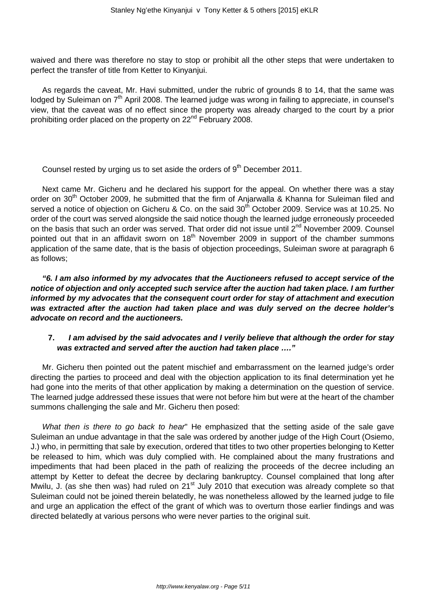waived and there was therefore no stay to stop or prohibit all the other steps that were undertaken to perfect the transfer of title from Ketter to Kinyanjui.

As regards the caveat, Mr. Havi submitted, under the rubric of grounds 8 to 14, that the same was lodged by Suleiman on 7<sup>th</sup> April 2008. The learned judge was wrong in failing to appreciate, in counsel's view, that the caveat was of no effect since the property was already charged to the court by a prior prohibiting order placed on the property on 22<sup>nd</sup> February 2008.

Counsel rested by urging us to set aside the orders of 9<sup>th</sup> December 2011.

Next came Mr. Gicheru and he declared his support for the appeal. On whether there was a stay order on 30<sup>th</sup> October 2009, he submitted that the firm of Anjarwalla & Khanna for Suleiman filed and served a notice of objection on Gicheru & Co. on the said 30<sup>th</sup> October 2009. Service was at 10.25. No order of the court was served alongside the said notice though the learned judge erroneously proceeded on the basis that such an order was served. That order did not issue until 2<sup>nd</sup> November 2009. Counsel pointed out that in an affidavit sworn on  $18<sup>th</sup>$  November 2009 in support of the chamber summons application of the same date, that is the basis of objection proceedings, Suleiman swore at paragraph 6 as follows;

**"6. I am also informed by my advocates that the Auctioneers refused to accept service of the notice of objection and only accepted such service after the auction had taken place. I am further informed by my advocates that the consequent court order for stay of attachment and execution was extracted after the auction had taken place and was duly served on the decree holder's advocate on record and the auctioneers.**

# **7. I am advised by the said advocates and I verily believe that although the order for stay was extracted and served after the auction had taken place …."**

Mr. Gicheru then pointed out the patent mischief and embarrassment on the learned judge's order directing the parties to proceed and deal with the objection application to its final determination yet he had gone into the merits of that other application by making a determination on the question of service. The learned judge addressed these issues that were not before him but were at the heart of the chamber summons challenging the sale and Mr. Gicheru then posed:

What then is there to go back to hear" He emphasized that the setting aside of the sale gave Suleiman an undue advantage in that the sale was ordered by another judge of the High Court (Osiemo, J.) who, in permitting that sale by execution, ordered that titles to two other properties belonging to Ketter be released to him, which was duly complied with. He complained about the many frustrations and impediments that had been placed in the path of realizing the proceeds of the decree including an attempt by Ketter to defeat the decree by declaring bankruptcy. Counsel complained that long after Mwilu, J. (as she then was) had ruled on 21<sup>st</sup> July 2010 that execution was already complete so that Suleiman could not be joined therein belatedly, he was nonetheless allowed by the learned judge to file and urge an application the effect of the grant of which was to overturn those earlier findings and was directed belatedly at various persons who were never parties to the original suit.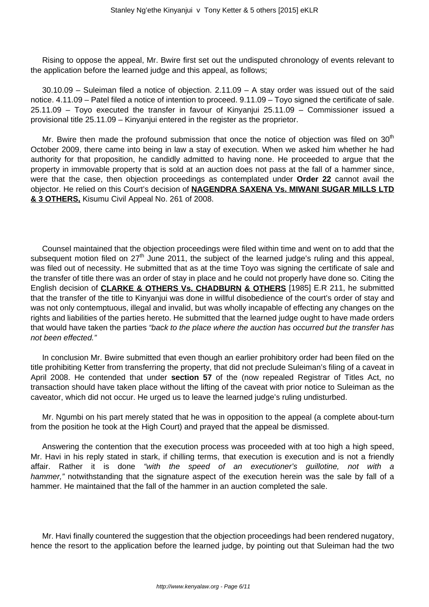Rising to oppose the appeal, Mr. Bwire first set out the undisputed chronology of events relevant to the application before the learned judge and this appeal, as follows;

30.10.09 – Suleiman filed a notice of objection. 2.11.09 – A stay order was issued out of the said notice. 4.11.09 – Patel filed a notice of intention to proceed. 9.11.09 – Toyo signed the certificate of sale. 25.11.09 – Toyo executed the transfer in favour of Kinyanjui 25.11.09 – Commissioner issued a provisional title 25.11.09 – Kinyanjui entered in the register as the proprietor.

Mr. Bwire then made the profound submission that once the notice of objection was filed on  $30<sup>th</sup>$ October 2009, there came into being in law a stay of execution. When we asked him whether he had authority for that proposition, he candidly admitted to having none. He proceeded to argue that the property in immovable property that is sold at an auction does not pass at the fall of a hammer since, were that the case, then objection proceedings as contemplated under **Order 22** cannot avail the objector. He relied on this Court's decision of **NAGENDRA SAXENA Vs. MIWANI SUGAR MILLS LTD & 3 OTHERS,** Kisumu Civil Appeal No. 261 of 2008.

Counsel maintained that the objection proceedings were filed within time and went on to add that the subsequent motion filed on  $27<sup>th</sup>$  June 2011, the subject of the learned judge's ruling and this appeal. was filed out of necessity. He submitted that as at the time Toyo was signing the certificate of sale and the transfer of title there was an order of stay in place and he could not properly have done so. Citing the English decision of **CLARKE & OTHERS Vs. CHADBURN & OTHERS** [1985] E.R 211, he submitted that the transfer of the title to Kinyanjui was done in willful disobedience of the court's order of stay and was not only contemptuous, illegal and invalid, but was wholly incapable of effecting any changes on the rights and liabilities of the parties hereto. He submitted that the learned judge ought to have made orders that would have taken the parties "back to the place where the auction has occurred but the transfer has not been effected."

In conclusion Mr. Bwire submitted that even though an earlier prohibitory order had been filed on the title prohibiting Ketter from transferring the property, that did not preclude Suleiman's filing of a caveat in April 2008. He contended that under **section 57** of the (now repealed Registrar of Titles Act, no transaction should have taken place without the lifting of the caveat with prior notice to Suleiman as the caveator, which did not occur. He urged us to leave the learned judge's ruling undisturbed.

Mr. Ngumbi on his part merely stated that he was in opposition to the appeal (a complete about-turn from the position he took at the High Court) and prayed that the appeal be dismissed.

Answering the contention that the execution process was proceeded with at too high a high speed, Mr. Havi in his reply stated in stark, if chilling terms, that execution is execution and is not a friendly affair. Rather it is done "with the speed of an executioner's guillotine, not with a hammer," notwithstanding that the signature aspect of the execution herein was the sale by fall of a hammer. He maintained that the fall of the hammer in an auction completed the sale.

Mr. Havi finally countered the suggestion that the objection proceedings had been rendered nugatory, hence the resort to the application before the learned judge, by pointing out that Suleiman had the two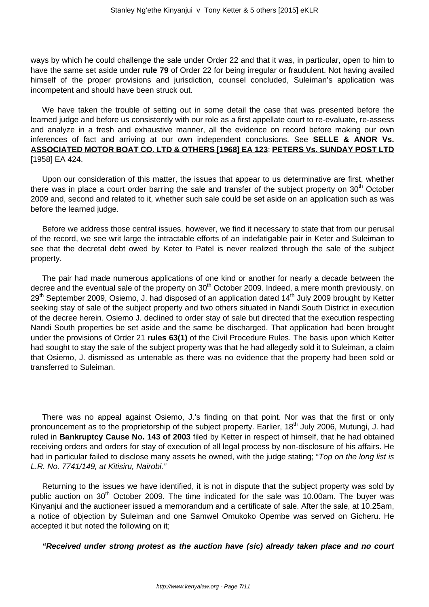ways by which he could challenge the sale under Order 22 and that it was, in particular, open to him to have the same set aside under **rule 79** of Order 22 for being irregular or fraudulent. Not having availed himself of the proper provisions and jurisdiction, counsel concluded, Suleiman's application was incompetent and should have been struck out.

We have taken the trouble of setting out in some detail the case that was presented before the learned judge and before us consistently with our role as a first appellate court to re-evaluate, re-assess and analyze in a fresh and exhaustive manner, all the evidence on record before making our own inferences of fact and arriving at our own independent conclusions. See **SELLE & ANOR Vs. ASSOCIATED MOTOR BOAT CO. LTD & OTHERS [1968] EA 123**; **PETERS Vs. SUNDAY POST LTD** [1958] EA 424.

Upon our consideration of this matter, the issues that appear to us determinative are first, whether there was in place a court order barring the sale and transfer of the subject property on 30<sup>th</sup> October 2009 and, second and related to it, whether such sale could be set aside on an application such as was before the learned judge.

Before we address those central issues, however, we find it necessary to state that from our perusal of the record, we see writ large the intractable efforts of an indefatigable pair in Keter and Suleiman to see that the decretal debt owed by Keter to Patel is never realized through the sale of the subject property.

The pair had made numerous applications of one kind or another for nearly a decade between the decree and the eventual sale of the property on  $30<sup>th</sup>$  October 2009. Indeed, a mere month previously, on 29<sup>th</sup> September 2009, Osiemo, J. had disposed of an application dated 14<sup>th</sup> July 2009 brought by Ketter seeking stay of sale of the subject property and two others situated in Nandi South District in execution of the decree herein. Osiemo J. declined to order stay of sale but directed that the execution respecting Nandi South properties be set aside and the same be discharged. That application had been brought under the provisions of Order 21 **rules 63(1)** of the Civil Procedure Rules. The basis upon which Ketter had sought to stay the sale of the subject property was that he had allegedly sold it to Suleiman, a claim that Osiemo, J. dismissed as untenable as there was no evidence that the property had been sold or transferred to Suleiman.

There was no appeal against Osiemo, J.'s finding on that point. Nor was that the first or only pronouncement as to the proprietorship of the subject property. Earlier, 18<sup>th</sup> July 2006, Mutungi, J. had ruled in **Bankruptcy Cause No. 143 of 2003** filed by Ketter in respect of himself, that he had obtained receiving orders and orders for stay of execution of all legal process by non-disclosure of his affairs. He had in particular failed to disclose many assets he owned, with the judge stating; "Top on the long list is L.R. No. 7741/149, at Kitisiru, Nairobi."

Returning to the issues we have identified, it is not in dispute that the subject property was sold by public auction on  $30<sup>th</sup>$  October 2009. The time indicated for the sale was 10.00am. The buyer was Kinyanjui and the auctioneer issued a memorandum and a certificate of sale. After the sale, at 10.25am, a notice of objection by Suleiman and one Samwel Omukoko Opembe was served on Gicheru. He accepted it but noted the following on it;

**"Received under strong protest as the auction have (sic) already taken place and no court**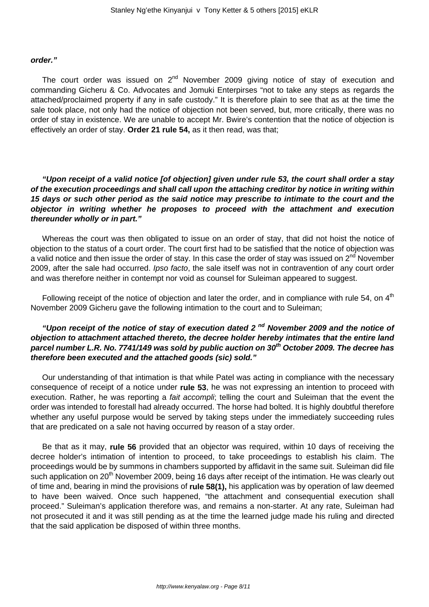#### **order."**

The court order was issued on  $2<sup>nd</sup>$  November 2009 giving notice of stay of execution and commanding Gicheru & Co. Advocates and Jomuki Enterpirses "not to take any steps as regards the attached/proclaimed property if any in safe custody." It is therefore plain to see that as at the time the sale took place, not only had the notice of objection not been served, but, more critically, there was no order of stay in existence. We are unable to accept Mr. Bwire's contention that the notice of objection is effectively an order of stay. **Order 21 rule 54,** as it then read, was that;

**"Upon receipt of a valid notice [of objection] given under rule 53, the court shall order a stay of the execution proceedings and shall call upon the attaching creditor by notice in writing within 15 days or such other period as the said notice may prescribe to intimate to the court and the objector in writing whether he proposes to proceed with the attachment and execution thereunder wholly or in part."**

Whereas the court was then obligated to issue on an order of stay, that did not hoist the notice of objection to the status of a court order. The court first had to be satisfied that the notice of objection was a valid notice and then issue the order of stay. In this case the order of stay was issued on  $2^{nd}$  November 2009, after the sale had occurred. Ipso facto, the sale itself was not in contravention of any court order and was therefore neither in contempt nor void as counsel for Suleiman appeared to suggest.

Following receipt of the notice of objection and later the order, and in compliance with rule 54, on  $4<sup>th</sup>$ November 2009 Gicheru gave the following intimation to the court and to Suleiman;

# **"Upon receipt of the notice of stay of execution dated 2 nd November 2009 and the notice of objection to attachment attached thereto, the decree holder hereby intimates that the entire land parcel number L.R. No. 7741/149 was sold by public auction on 30th October 2009. The decree has therefore been executed and the attached goods (sic) sold."**

Our understanding of that intimation is that while Patel was acting in compliance with the necessary consequence of receipt of a notice under **rule 53**, he was not expressing an intention to proceed with execution. Rather, he was reporting a *fait accompli*; telling the court and Suleiman that the event the order was intended to forestall had already occurred. The horse had bolted. It is highly doubtful therefore whether any useful purpose would be served by taking steps under the immediately succeeding rules that are predicated on a sale not having occurred by reason of a stay order.

Be that as it may, **rule 56** provided that an objector was required, within 10 days of receiving the decree holder's intimation of intention to proceed, to take proceedings to establish his claim. The proceedings would be by summons in chambers supported by affidavit in the same suit. Suleiman did file such application on 20<sup>th</sup> November 2009, being 16 days after receipt of the intimation. He was clearly out of time and, bearing in mind the provisions of **rule 58(1),** his application was by operation of law deemed to have been waived. Once such happened, "the attachment and consequential execution shall proceed." Suleiman's application therefore was, and remains a non-starter. At any rate, Suleiman had not prosecuted it and it was still pending as at the time the learned judge made his ruling and directed that the said application be disposed of within three months.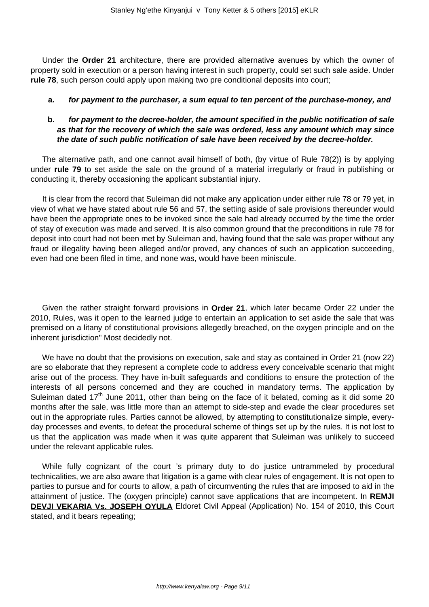Under the **Order 21** architecture, there are provided alternative avenues by which the owner of property sold in execution or a person having interest in such property, could set such sale aside. Under **rule 78**, such person could apply upon making two pre conditional deposits into court;

#### **a. for payment to the purchaser, a sum equal to ten percent of the purchase-money, and**

# **b. for payment to the decree-holder, the amount specified in the public notification of sale as that for the recovery of which the sale was ordered, less any amount which may since the date of such public notification of sale have been received by the decree-holder.**

The alternative path, and one cannot avail himself of both, (by virtue of Rule 78(2)) is by applying under **rule 79** to set aside the sale on the ground of a material irregularly or fraud in publishing or conducting it, thereby occasioning the applicant substantial injury.

It is clear from the record that Suleiman did not make any application under either rule 78 or 79 yet, in view of what we have stated about rule 56 and 57, the setting aside of sale provisions thereunder would have been the appropriate ones to be invoked since the sale had already occurred by the time the order of stay of execution was made and served. It is also common ground that the preconditions in rule 78 for deposit into court had not been met by Suleiman and, having found that the sale was proper without any fraud or illegality having been alleged and/or proved, any chances of such an application succeeding, even had one been filed in time, and none was, would have been miniscule.

Given the rather straight forward provisions in **Order 21**, which later became Order 22 under the 2010, Rules, was it open to the learned judge to entertain an application to set aside the sale that was premised on a litany of constitutional provisions allegedly breached, on the oxygen principle and on the inherent jurisdiction" Most decidedly not.

We have no doubt that the provisions on execution, sale and stay as contained in Order 21 (now 22) are so elaborate that they represent a complete code to address every conceivable scenario that might arise out of the process. They have in-built safeguards and conditions to ensure the protection of the interests of all persons concerned and they are couched in mandatory terms. The application by Suleiman dated  $17<sup>th</sup>$  June 2011, other than being on the face of it belated, coming as it did some 20 months after the sale, was little more than an attempt to side-step and evade the clear procedures set out in the appropriate rules. Parties cannot be allowed, by attempting to constitutionalize simple, everyday processes and events, to defeat the procedural scheme of things set up by the rules. It is not lost to us that the application was made when it was quite apparent that Suleiman was unlikely to succeed under the relevant applicable rules.

While fully cognizant of the court 's primary duty to do justice untrammeled by procedural technicalities, we are also aware that litigation is a game with clear rules of engagement. It is not open to parties to pursue and for courts to allow, a path of circumventing the rules that are imposed to aid in the attainment of justice. The (oxygen principle) cannot save applications that are incompetent. In **REMJI DEVJI VEKARIA Vs. JOSEPH OYULA** Eldoret Civil Appeal (Application) No. 154 of 2010, this Court stated, and it bears repeating;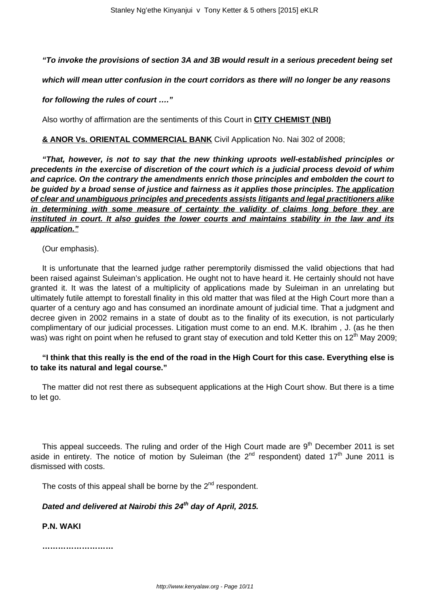# **"To invoke the provisions of section 3A and 3B would result in a serious precedent being set**

**which will mean utter confusion in the court corridors as there will no longer be any reasons**

#### **for following the rules of court …."**

Also worthy of affirmation are the sentiments of this Court in **CITY CHEMIST (NBI)**

# **& ANOR Vs. ORIENTAL COMMERCIAL BANK** Civil Application No. Nai 302 of 2008;

**"That, however, is not to say that the new thinking uproots well-established principles or precedents in the exercise of discretion of the court which is a judicial process devoid of whim and caprice. On the contrary the amendments enrich those principles and embolden the court to be guided by a broad sense of justice and fairness as it applies those principles. The application of clear and unambiguous principles and precedents assists litigants and legal practitioners alike in determining with some measure of certainty the validity of claims long before they are instituted in court. It also guides the lower courts and maintains stability in the law and its application."**

(Our emphasis).

It is unfortunate that the learned judge rather peremptorily dismissed the valid objections that had been raised against Suleiman's application. He ought not to have heard it. He certainly should not have granted it. It was the latest of a multiplicity of applications made by Suleiman in an unrelating but ultimately futile attempt to forestall finality in this old matter that was filed at the High Court more than a quarter of a century ago and has consumed an inordinate amount of judicial time. That a judgment and decree given in 2002 remains in a state of doubt as to the finality of its execution, is not particularly complimentary of our judicial processes. Litigation must come to an end. M.K. Ibrahim , J. (as he then was) was right on point when he refused to grant stay of execution and told Ketter this on 12<sup>th</sup> May 2009;

### **"I think that this really is the end of the road in the High Court for this case. Everything else is to take its natural and legal course."**

The matter did not rest there as subsequent applications at the High Court show. But there is a time to let go.

This appeal succeeds. The ruling and order of the High Court made are  $9<sup>th</sup>$  December 2011 is set aside in entirety. The notice of motion by Suleiman (the  $2^{nd}$  respondent) dated  $17<sup>th</sup>$  June 2011 is dismissed with costs.

The costs of this appeal shall be borne by the  $2^{nd}$  respondent.

# **Dated and delivered at Nairobi this 24th day of April, 2015.**

**P.N. WAKI**

**………………………**